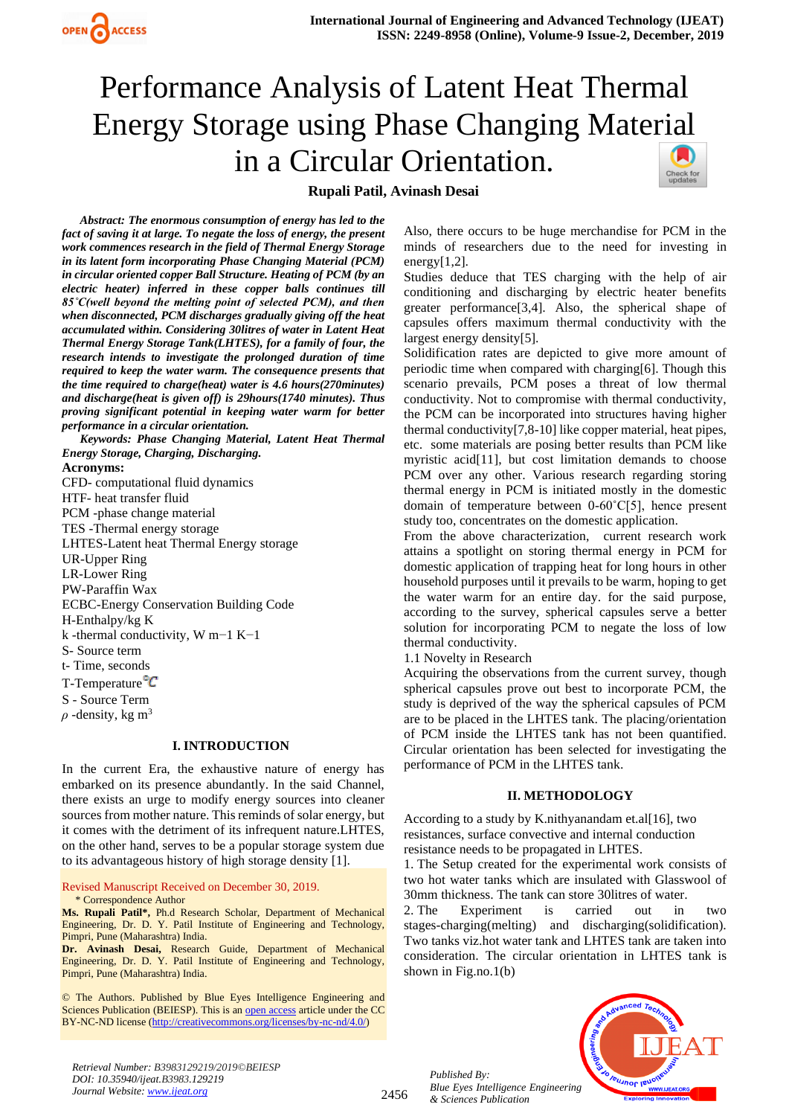

# Performance Analysis of Latent Heat Thermal Energy Storage using Phase Changing Material in a Circular Orientation.

# **Rupali Patil, Avinash Desai**



*Abstract: The enormous consumption of energy has led to the fact of saving it at large. To negate the loss of energy, the present work commences research in the field of Thermal Energy Storage in its latent form incorporating Phase Changing Material (PCM) in circular oriented copper Ball Structure. Heating of PCM (by an electric heater) inferred in these copper balls continues till 85˚C(well beyond the melting point of selected PCM), and then when disconnected, PCM discharges gradually giving off the heat accumulated within. Considering 30litres of water in Latent Heat Thermal Energy Storage Tank(LHTES), for a family of four, the research intends to investigate the prolonged duration of time required to keep the water warm. The consequence presents that the time required to charge(heat) water is 4.6 hours(270minutes) and discharge(heat is given off) is 29hours(1740 minutes). Thus proving significant potential in keeping water warm for better performance in a circular orientation.* 

*Keywords: Phase Changing Material, Latent Heat Thermal Energy Storage, Charging, Discharging.*

#### **Acronyms:**

CFD- computational fluid dynamics HTF- heat transfer fluid PCM -phase change material TES -Thermal energy storage LHTES-Latent heat Thermal Energy storage UR-Upper Ring LR-Lower Ring PW-Paraffin Wax ECBC-Energy Conservation Building Code H-Enthalpy/kg K k -thermal conductivity, W m−1 K−1 S- Source term t- Time, seconds T-Temperature<sup>o</sup>C S *-* Source Term  $\rho$  *-*density, kg m<sup>3</sup>

## **I. INTRODUCTION**

In the current Era, the exhaustive nature of energy has embarked on its presence abundantly. In the said Channel, there exists an urge to modify energy sources into cleaner sources from mother nature. This reminds of solar energy, but it comes with the detriment of its infrequent nature.LHTES, on the other hand, serves to be a popular storage system due to its advantageous history of high storage density [1].

Revised Manuscript Received on December 30, 2019.

\* Correspondence Author **Ms. Rupali Patil\*,** Ph.d Research Scholar, Department of Mechanical Engineering, Dr. D. Y. Patil Institute of Engineering and Technology, Pimpri, Pune (Maharashtra) India.

**Dr. Avinash Desai,** Research Guide, Department of Mechanical Engineering, Dr. D. Y. Patil Institute of Engineering and Technology, Pimpri, Pune (Maharashtra) India.

© The Authors. Published by Blue Eyes Intelligence Engineering and Sciences Publication (BEIESP). This is a[n open access](https://www.openaccess.nl/en/open-publications) article under the CC BY-NC-ND license [\(http://creativecommons.org/licenses/by-nc-nd/4.0/\)](http://creativecommons.org/licenses/by-nc-nd/4.0/)

Also, there occurs to be huge merchandise for PCM in the minds of researchers due to the need for investing in energy $[1,2]$ .

Studies deduce that TES charging with the help of air conditioning and discharging by electric heater benefits greater performance[3,4]. Also, the spherical shape of capsules offers maximum thermal conductivity with the largest energy density[5].

Solidification rates are depicted to give more amount of periodic time when compared with charging[6]. Though this scenario prevails, PCM poses a threat of low thermal conductivity. Not to compromise with thermal conductivity, the PCM can be incorporated into structures having higher thermal conductivity[7,8-10] like copper material, heat pipes, etc. some materials are posing better results than PCM like myristic acid[11], but cost limitation demands to choose PCM over any other. Various research regarding storing thermal energy in PCM is initiated mostly in the domestic domain of temperature between 0-60˚C[5], hence present study too, concentrates on the domestic application.

From the above characterization, current research work attains a spotlight on storing thermal energy in PCM for domestic application of trapping heat for long hours in other household purposes until it prevails to be warm, hoping to get the water warm for an entire day. for the said purpose, according to the survey, spherical capsules serve a better solution for incorporating PCM to negate the loss of low thermal conductivity.

1.1 Novelty in Research

Acquiring the observations from the current survey, though spherical capsules prove out best to incorporate PCM, the study is deprived of the way the spherical capsules of PCM are to be placed in the LHTES tank. The placing/orientation of PCM inside the LHTES tank has not been quantified. Circular orientation has been selected for investigating the performance of PCM in the LHTES tank.

## **II. METHODOLOGY**

According to a study by K.nithyanandam et.al[16], two resistances, surface convective and internal conduction resistance needs to be propagated in LHTES.

1. The Setup created for the experimental work consists of two hot water tanks which are insulated with Glasswool of 30mm thickness. The tank can store 30litres of water.

2. The Experiment is carried out in two stages-charging(melting) and discharging(solidification). Two tanks viz.hot water tank and LHTES tank are taken into consideration. The circular orientation in LHTES tank is shown in Fig.no.1(b)



*Retrieval Number: B3983129219/2019©BEIESP DOI: 10.35940/ijeat.B3983.129219 Journal Website[: www.ijeat.org](http://www.ijeat.org/)*

2456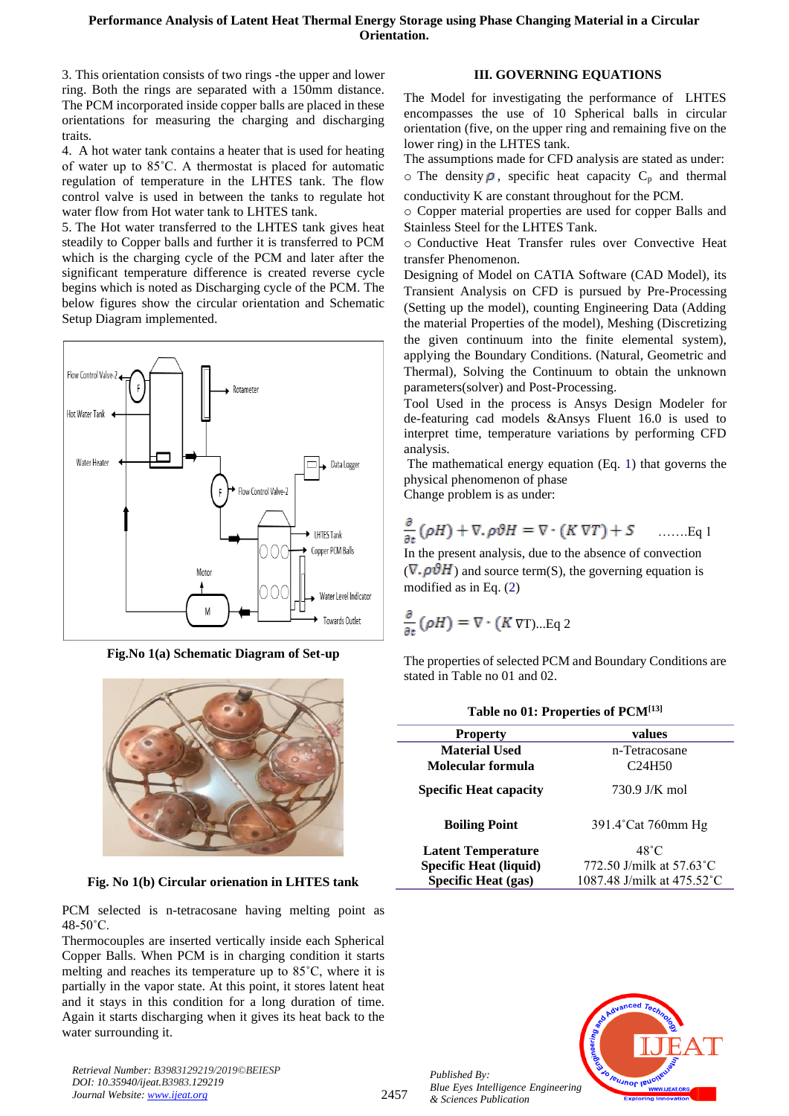3. This orientation consists of two rings -the upper and lower ring. Both the rings are separated with a 150mm distance. The PCM incorporated inside copper balls are placed in these orientations for measuring the charging and discharging traits.

4. A hot water tank contains a heater that is used for heating of water up to 85˚C. A thermostat is placed for automatic regulation of temperature in the LHTES tank. The flow control valve is used in between the tanks to regulate hot water flow from Hot water tank to LHTES tank.

5. The Hot water transferred to the LHTES tank gives heat steadily to Copper balls and further it is transferred to PCM which is the charging cycle of the PCM and later after the significant temperature difference is created reverse cycle begins which is noted as Discharging cycle of the PCM. The below figures show the circular orientation and Schematic Setup Diagram implemented.



**Fig.No 1(a) Schematic Diagram of Set-up**



|  |  |  | Fig. No 1(b) Circular orienation in LHTES tank |  |  |  |
|--|--|--|------------------------------------------------|--|--|--|
|--|--|--|------------------------------------------------|--|--|--|

PCM selected is n-tetracosane having melting point as 48-50˚C.

Thermocouples are inserted vertically inside each Spherical Copper Balls. When PCM is in charging condition it starts melting and reaches its temperature up to 85˚C, where it is partially in the vapor state. At this point, it stores latent heat and it stays in this condition for a long duration of time. Again it starts discharging when it gives its heat back to the water surrounding it.

*Retrieval Number: B3983129219/2019©BEIESP DOI: 10.35940/ijeat.B3983.129219 Journal Website[: www.ijeat.org](http://www.ijeat.org/)*

# **III. GOVERNING EQUATIONS**

The Model for investigating the performance of LHTES encompasses the use of 10 Spherical balls in circular orientation (five, on the upper ring and remaining five on the lower ring) in the LHTES tank.

The assumptions made for CFD analysis are stated as under:  $\circ$  The density  $\rho$ , specific heat capacity  $C_p$  and thermal

conductivity K are constant throughout for the PCM. o Copper material properties are used for copper Balls and

Stainless Steel for the LHTES Tank.

o Conductive Heat Transfer rules over Convective Heat transfer Phenomenon.

Designing of Model on CATIA Software (CAD Model), its Transient Analysis on CFD is pursued by Pre-Processing (Setting up the model), counting Engineering Data (Adding the material Properties of the model), Meshing (Discretizing the given continuum into the finite elemental system), applying the Boundary Conditions. (Natural, Geometric and Thermal), Solving the Continuum to obtain the unknown parameters(solver) and Post-Processing.

Tool Used in the process is Ansys Design Modeler for de-featuring cad models &Ansys Fluent 16.0 is used to interpret time, temperature variations by performing CFD analysis.

The mathematical energy equation (Eq. 1) that governs the physical phenomenon of phase

Change problem is as under:

$$
\frac{\partial}{\partial t}(\rho H) + \nabla \cdot \rho \partial H = \nabla \cdot (K \nabla T) + S \quad \dots \dots \text{Eq 1}
$$

In the present analysis, due to the absence of convection  $(\nabla$ .  $\rho \vartheta H$ ) and source term(S), the governing equation is modified as in Eq. (2)

$$
\frac{\partial}{\partial t}(\rho H) = \nabla \cdot (K \nabla T) ... \text{Eq 2}
$$

The properties of selected PCM and Boundary Conditions are stated in Table no 01 and 02.

**Table no 01: Properties of PCM[13]**

| <b>Table no 01: Properties of PUMP</b> |                                    |  |  |  |  |
|----------------------------------------|------------------------------------|--|--|--|--|
| <b>Property</b>                        | values                             |  |  |  |  |
| <b>Material Used</b>                   | n-Tetracosane                      |  |  |  |  |
| Molecular formula                      | C <sub>24</sub> H <sub>50</sub>    |  |  |  |  |
| <b>Specific Heat capacity</b>          | 730.9 J/K mol                      |  |  |  |  |
| <b>Boiling Point</b>                   | 391.4°Cat 760mm Hg                 |  |  |  |  |
| <b>Latent Temperature</b>              | $48^{\circ}$ C                     |  |  |  |  |
| <b>Specific Heat (liquid)</b>          | 772.50 J/milk at $57.63^{\circ}$ C |  |  |  |  |
| <b>Specific Heat (gas)</b>             | 1087.48 J/milk at 475.52 °C        |  |  |  |  |

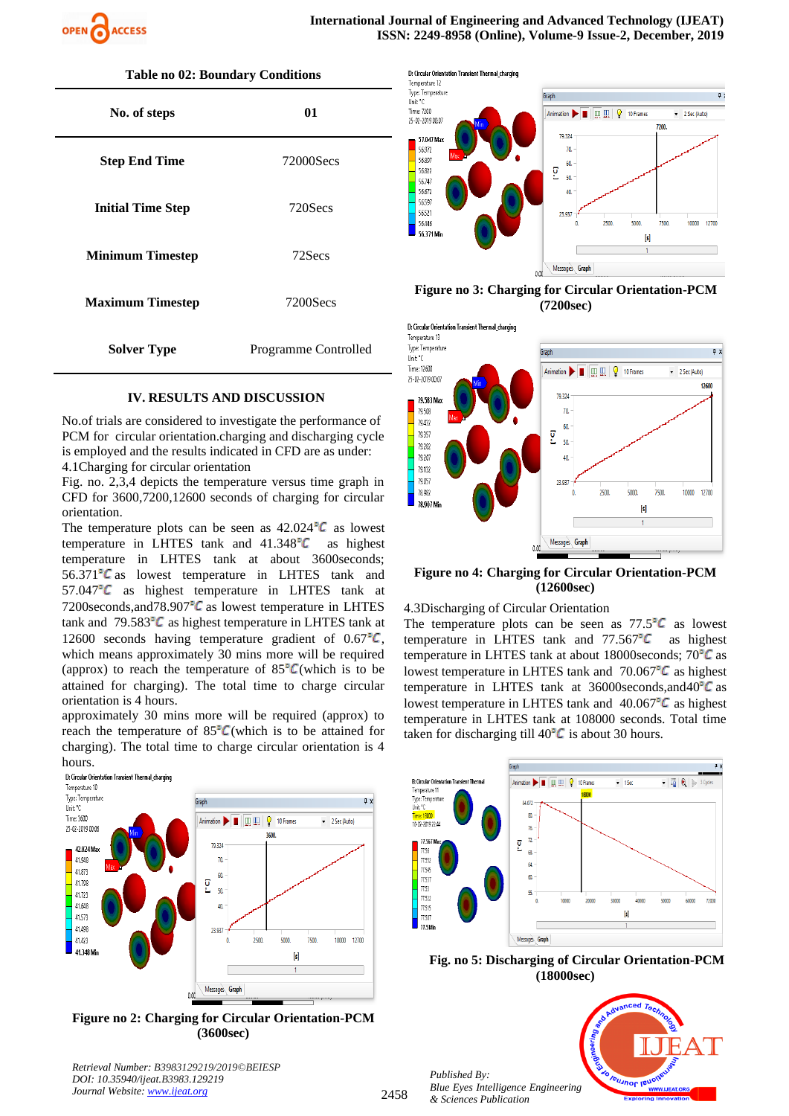

| No. of steps             | 01                   |  |  |
|--------------------------|----------------------|--|--|
| <b>Step End Time</b>     | 72000Secs            |  |  |
| <b>Initial Time Step</b> | 720Secs              |  |  |
| <b>Minimum Timestep</b>  | 72Secs               |  |  |
| <b>Maximum Timestep</b>  | 7200Secs             |  |  |
| <b>Solver Type</b>       | Programme Controlled |  |  |



No.of trials are considered to investigate the performance of PCM for circular orientation.charging and discharging cycle is employed and the results indicated in CFD are as under:

4.1Charging for circular orientation

Fig. no. 2,3,4 depicts the temperature versus time graph in CFD for 3600,7200,12600 seconds of charging for circular orientation.

The temperature plots can be seen as  $42.024$ <sup>o</sup>C as lowest temperature in LHTES tank and  $41.348^{\circ}C$  as highest temperature in LHTES tank at about 3600seconds;  $56.371^{\circ}$ C as lowest temperature in LHTES tank and  $57.047^{\circ}$  as highest temperature in LHTES tank at 7200seconds, and  $78.907$ <sup>o</sup>C as lowest temperature in LHTES tank and  $79.583^{\circ}C$  as highest temperature in LHTES tank at 12600 seconds having temperature gradient of  $0.67^{\circ}C$ , which means approximately 30 mins more will be required (approx) to reach the temperature of  $85^{\circ}C$  (which is to be attained for charging). The total time to charge circular orientation is 4 hours.

approximately 30 mins more will be required (approx) to reach the temperature of  $85^{\circ}C$  (which is to be attained for charging). The total time to charge circular orientation is 4 hours.



**Figure no 2: Charging for Circular Orientation-PCM (3600sec)**

*Retrieval Number: B3983129219/2019©BEIESP DOI: 10.35940/ijeat.B3983.129219 Journal Website[: www.ijeat.org](http://www.ijeat.org/)*



**Figure no 3: Charging for Circular Orientation-PCM (7200sec)**



#### **Figure no 4: Charging for Circular Orientation-PCM (12600sec)**

4.3Discharging of Circular Orientation

The temperature plots can be seen as  $77.5^{\circ}C$  as lowest temperature in LHTES tank and  $77.567^{\circ}C$  as highest temperature in LHTES tank at about 18000seconds;  $70^{\circ}C$  as lowest temperature in LHTES tank and  $70.067^{\circ}C$  as highest temperature in LHTES tank at  $36000$ seconds,and $40^{\circ}C$  as lowest temperature in LHTES tank and  $40.067^{\circ}C$  as highest temperature in LHTES tank at 108000 seconds. Total time taken for discharging till  $40^{\circ}C$  is about 30 hours.



 **Fig. no 5: Discharging of Circular Orientation-PCM (18000sec)**

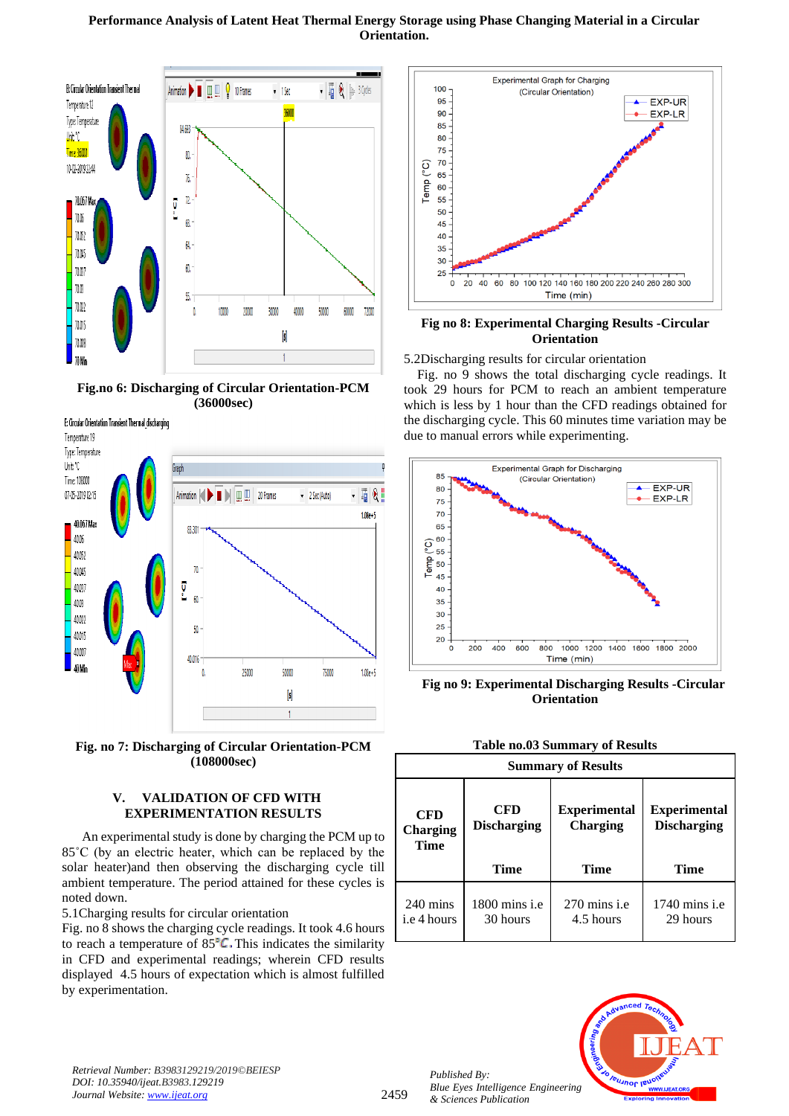## **Performance Analysis of Latent Heat Thermal Energy Storage using Phase Changing Material in a Circular Orientation.**



**Fig.no 6: Discharging of Circular Orientation-PCM (36000sec)**



**Fig. no 7: Discharging of Circular Orientation-PCM (108000sec)**

# **V. VALIDATION OF CFD WITH EXPERIMENTATION RESULTS**

 An experimental study is done by charging the PCM up to 85˚C (by an electric heater, which can be replaced by the solar heater)and then observing the discharging cycle till ambient temperature. The period attained for these cycles is noted down.

5.1Charging results for circular orientation

Fig. no 8 shows the charging cycle readings. It took 4.6 hours to reach a temperature of  $85^{\circ}$ C. This indicates the similarity in CFD and experimental readings; wherein CFD results displayed 4.5 hours of expectation which is almost fulfilled by experimentation.



## **Fig no 8: Experimental Charging Results -Circular Orientation**

5.2Discharging results for circular orientation

Fig. no 9 shows the total discharging cycle readings. It took 29 hours for PCM to reach an ambient temperature which is less by 1 hour than the CFD readings obtained for the discharging cycle. This 60 minutes time variation may be due to manual errors while experimenting.



 **Fig no 9: Experimental Discharging Results -Circular Orientation**

| <b>Summary of Results</b>         |                                  |                                        |                                           |  |  |  |
|-----------------------------------|----------------------------------|----------------------------------------|-------------------------------------------|--|--|--|
| <b>CFD</b><br>Charging<br>Time    | <b>CFD</b><br><b>Discharging</b> | <b>Experimental</b><br><b>Charging</b> | <b>Experimental</b><br><b>Discharging</b> |  |  |  |
|                                   | Time                             | Time                                   | Time                                      |  |  |  |
| $240 \text{ mins}$<br>i.e 4 hours | $1800$ mins i.e<br>30 hours      | $270$ mins i.e<br>4.5 hours            | $1740$ mins i.e<br>29 hours               |  |  |  |





*Retrieval Number: B3983129219/2019©BEIESP DOI: 10.35940/ijeat.B3983.129219 Journal Website[: www.ijeat.org](http://www.ijeat.org/)*

2459